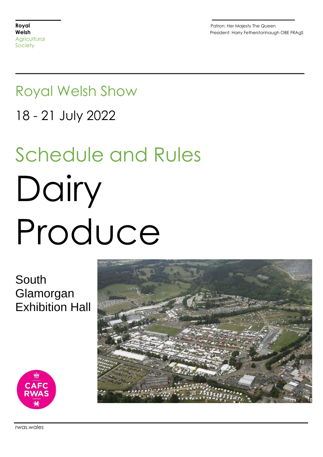**Royal Royal Research Studies (Separate Studies 1999)**<br>
Patron: Her Majesty The Queen<br>
President: Harry Fetherstonhaua President: Harry Fetherstonhaugh OBE FRAgS

# Royal Welsh Show

18 - 21 July 2022

# Schedule and Rules Dairy Produce

South Glamorgan Exhibition Hall



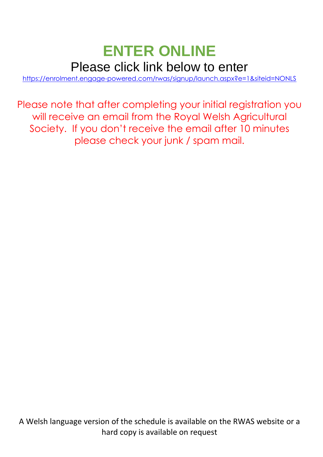# **ENTER ONLINE**  Please click link below to enter

[https://enrolment.engage-powered.com/rwas/signup/launch.aspx?e=1&siteid=NONLS](https://protect-eu.mimecast.com/s/QSAyCr8gnhDm6pF7s4F0)

Please note that after completing your initial registration you will receive an email from the Royal Welsh Agricultural Society. If you don't receive the email after 10 minutes please check your junk / spam mail.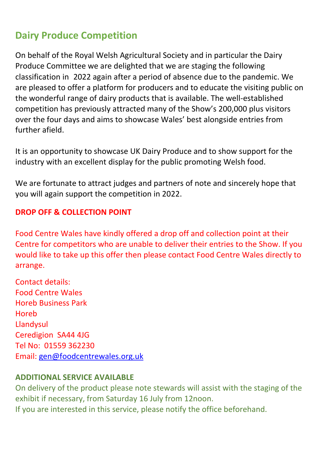# **Dairy Produce Competition**

On behalf of the Royal Welsh Agricultural Society and in particular the Dairy Produce Committee we are delighted that we are staging the following classification in 2022 again after a period of absence due to the pandemic. We are pleased to offer a platform for producers and to educate the visiting public on the wonderful range of dairy products that is available. The well-established competition has previously attracted many of the Show's 200,000 plus visitors over the four days and aims to showcase Wales' best alongside entries from further afield.

It is an opportunity to showcase UK Dairy Produce and to show support for the industry with an excellent display for the public promoting Welsh food.

We are fortunate to attract judges and partners of note and sincerely hope that you will again support the competition in 2022.

# **DROP OFF & COLLECTION POINT**

Food Centre Wales have kindly offered a drop off and collection point at their Centre for competitors who are unable to deliver their entries to the Show. If you would like to take up this offer then please contact Food Centre Wales directly to arrange.

Contact details: Food Centre Wales Horeb Business Park Horeb Llandysul Ceredigion SA44 4JG Tel No: 01559 362230 Email: [gen@foodcentrewales.org.uk](mailto:gen@foodcentrewales.org.uk)

# **ADDITIONAL SERVICE AVAILABLE**

On delivery of the product please note stewards will assist with the staging of the exhibit if necessary, from Saturday 16 July from 12noon. If you are interested in this service, please notify the office beforehand.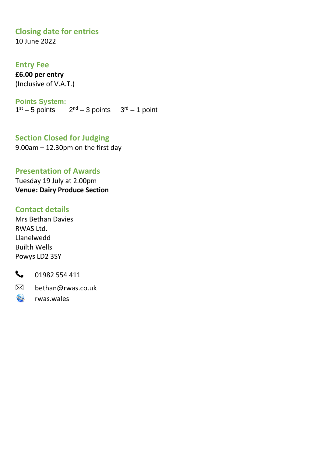# **Closing date for entries**

10 June 2022

## **Entry Fee**

**£6.00 per entry** (Inclusive of V.A.T.)

#### **Points System:**

 $1<sup>st</sup> - 5$  points  $2<sup>nd</sup> - 3$  points  $3<sup>rd</sup> - 1$  point

# **Section Closed for Judging**

9.00am – 12.30pm on the first day

# **Presentation of Awards**

Tuesday 19 July at 2.00pm **Venue: Dairy Produce Section**

## **Contact details**

Mrs Bethan Davies RWAS Ltd. Llanelwedd Builth Wells Powys LD2 3SY



01982 554 411

 $\boxtimes$ bethan@rwas.co.uk

rwas.wales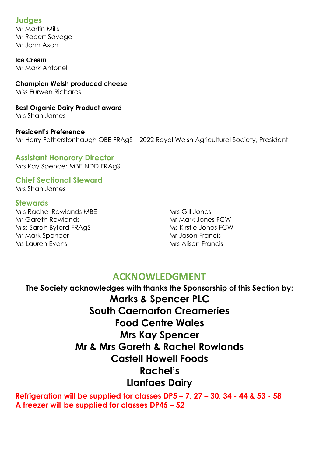## **Judges**

Mr Martin Mills Mr Robert Savage Mr John Axon

**Ice Cream** Mr Mark Antoneli

**Champion Welsh produced cheese** Miss Eurwen Richards

**Best Organic Dairy Product award** Mrs Shan James

**President's Preference**  Mr Harry Fetherstonhaugh OBE FRAgS – 2022 Royal Welsh Agricultural Society, President

# **Assistant Honorary Director**

Mrs Kay Spencer MBE NDD FRAgS

**Chief Sectional Steward** Mrs Shan James

#### **Stewards**

Mrs Rachel Rowlands MBE Mr Gareth Rowlands Miss Sarah Byford FRAgS Mr Mark Spencer Ms Lauren Evans

Mrs Gill Jones Mr Mark Jones FCW Ms Kirstie Jones FCW Mr Jason Francis Mrs Alison Francis

# **ACKNOWLEDGMENT**

**The Society acknowledges with thanks the Sponsorship of this Section by: Marks & Spencer PLC South Caernarfon Creameries Food Centre Wales Mrs Kay Spencer Mr & Mrs Gareth & Rachel Rowlands Castell Howell Foods Rachel's Llanfaes Dairy**

**Refrigeration will be supplied for classes DP5 – 7, 27 – 30, 34 - 44 & 53 - 58 A freezer will be supplied for classes DP45 – 52**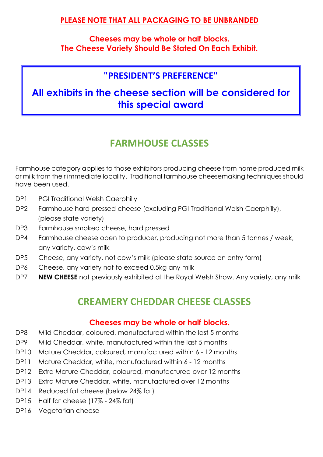# **PLEASE NOTE THAT ALL PACKAGING TO BE UNBRANDED**

**Cheeses may be whole or half blocks. The Cheese Variety Should Be Stated On Each Exhibit.**

# **"PRESIDENT'S PREFERENCE"**

# **All exhibits in the cheese section will be considered for this special award**

# **FARMHOUSE CLASSES**

Farmhouse category applies to those exhibitors producing cheese from home produced milk or milk from their immediate locality. Traditional farmhouse cheesemaking techniques should have been used.

- DP1 PGI Traditional Welsh Caerphilly
- DP2 Farmhouse hard pressed cheese (excluding PGI Traditional Welsh Caerphilly), (please state variety)
- DP3 Farmhouse smoked cheese, hard pressed
- DP4 Farmhouse cheese open to producer, producing not more than 5 tonnes / week, any variety, cow's milk
- DP5 Cheese, any variety, not cow's milk (please state source on entry form)
- DP6 Cheese, any variety not to exceed 0.5kg any milk
- DP7 **NEW CHEESE** not previously exhibited at the Royal Welsh Show. Any variety, any milk

# **CREAMERY CHEDDAR CHEESE CLASSES**

## **Cheeses may be whole or half blocks.**

- DP8 Mild Cheddar, coloured, manufactured within the last 5 months
- DP9 Mild Cheddar, white, manufactured within the last 5 months
- DP10 Mature Cheddar, coloured, manufactured within 6 12 months
- DP11 Mature Cheddar, white, manufactured within 6 12 months
- DP12 Extra Mature Cheddar, coloured, manufactured over 12 months
- DP13 Extra Mature Cheddar, white, manufactured over 12 months
- DP14 Reduced fat cheese (below 24% fat)
- DP15 Half fat cheese (17% 24% fat)
- DP16 Vegetarian cheese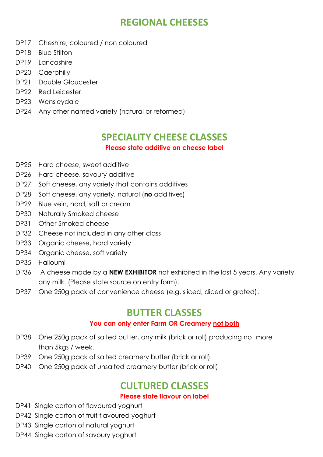# **REGIONAL CHEESES**

- DP17 Cheshire, coloured / non coloured
- DP18 Blue Stilton
- DP19 Lancashire
- DP20 Caerphilly
- DP21 Double Gloucester
- DP22 Red Leicester
- DP23 Wensleydale
- DP24 Any other named variety (natural or reformed)

# **SPECIALITY CHEESE CLASSES**

#### **Please state additive on cheese label**

- DP25 Hard cheese, sweet additive
- DP26 Hard cheese, savoury additive
- DP27 Soft cheese, any variety that contains additives
- DP28 Soft cheese, any variety, natural (**no** additives)
- DP29 Blue vein, hard, soft or cream
- DP30 Naturally Smoked cheese
- DP31 Other Smoked cheese
- DP32 Cheese not included in any other class
- DP33 Organic cheese, hard variety
- DP34 Organic cheese, soft variety
- DP35 Halloumi
- DP36 A cheese made by a **NEW EXHIBITOR** not exhibited in the last 5 years. Any variety, any milk. (Please state source on entry form).
- DP37 One 250g pack of convenience cheese (e.g. sliced, diced or grated).

# **BUTTER CLASSES**

## **You can only enter Farm OR Creamery not both**

- DP38 One 250g pack of salted butter, any milk (brick or roll) producing not more than 5kgs / week.
- DP39 One 250g pack of salted creamery butter (brick or roll)
- DP40 One 250g pack of unsalted creamery butter (brick or roll)

# **CULTURED CLASSES**

## **Please state flavour on label**

- DP41 Single carton of flavoured yoghurt
- DP42 Single carton of fruit flavoured yoghurt
- DP43 Single carton of natural yoghurt
- DP44 Single carton of savoury yoghurt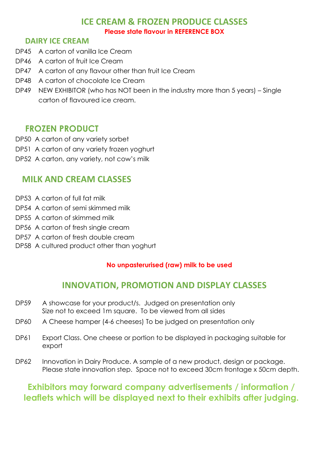# **ICE CREAM & FROZEN PRODUCE CLASSES Please state flavour in REFERENCE BOX**

# **DAIRY ICE CREAM**

- DP45 A carton of vanilla Ice Cream
- DP46 A carton of fruit Ice Cream
- DP47 A carton of any flavour other than fruit Ice Cream
- DP48 A carton of chocolate Ice Cream
- DP49 NEW EXHIBITOR (who has NOT been in the industry more than 5 years) Single carton of flavoured ice cream.

# **FROZEN PRODUCT**

- DP50 A carton of any variety sorbet
- DP51 A carton of any variety frozen yoghurt
- DP52 A carton, any variety, not cow's milk

# **MILK AND CREAM CLASSES**

- DP53 A carton of full fat milk
- DP54 A carton of semi skimmed milk
- DP55 A carton of skimmed milk
- DP56 A carton of fresh single cream
- DP57 A carton of fresh double cream
- DP58 A cultured product other than yoghurt

#### **No unpasterurised (raw) milk to be used**

# **INNOVATION, PROMOTION AND DISPLAY CLASSES**

- DP59 A showcase for your product/s. Judged on presentation only Size not to exceed 1m square. To be viewed from all sides
- DP60 A Cheese hamper (4-6 cheeses) To be judged on presentation only
- DP61 Export Class. One cheese or portion to be displayed in packaging suitable for export
- DP62 Innovation in Dairy Produce. A sample of a new product, design or package. Please state innovation step. Space not to exceed 30cm frontage x 50cm depth.

# **Exhibitors may forward company advertisements / information / leaflets which will be displayed next to their exhibits after judging.**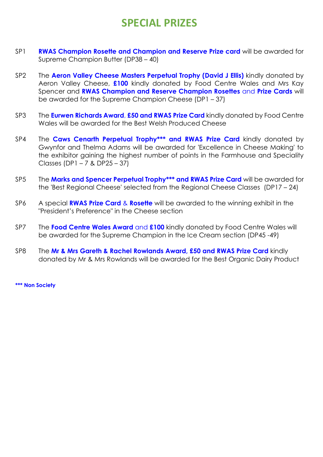# **SPECIAL PRIZES**

- SP1 **RWAS Champion Rosette and Champion and Reserve Prize card** will be awarded for Supreme Champion Butter (DP38 – 40)
- SP2 The **Aeron Valley Cheese Masters Perpetual Trophy (David J Ellis)** kindly donated by Aeron Valley Cheese, **£100** kindly donated by Food Centre Wales and Mrs Kay Spencer and **RWAS Champion and Reserve Champion Rosettes** and **Prize Cards** will be awarded for the Supreme Champion Cheese (DP1 – 37)
- SP3 The **Eurwen Richards Award**, **£50 and RWAS Prize Card** kindly donated by Food Centre Wales will be awarded for the Best Welsh Produced Cheese
- SP4 The **Caws Cenarth Perpetual Trophy\*\*\* and RWAS Prize Card** kindly donated by Gwynfor and Thelma Adams will be awarded for 'Excellence in Cheese Making' to the exhibitor gaining the highest number of points in the Farmhouse and Speciality Classes (DP1 – 7 & DP25 – 37)
- SP5 The **Marks and Spencer Perpetual Trophy\*\*\* and RWAS Prize Card** will be awarded for the 'Best Regional Cheese' selected from the Regional Cheese Classes (DP17 – 24)
- SP6 A special **RWAS Prize Card** & **Rosette** will be awarded to the winning exhibit in the "President's Preference" in the Cheese section
- SP7 The **Food Centre Wales Award** and **£100** kindly donated by Food Centre Wales will be awarded for the Supreme Champion in the Ice Cream section (DP45 -49)
- SP8 The **Mr & Mrs Gareth & Rachel Rowlands Award, £50 and RWAS Prize Card** kindly donated by Mr & Mrs Rowlands will be awarded for the Best Organic Dairy Product

**\*\*\* Non Society**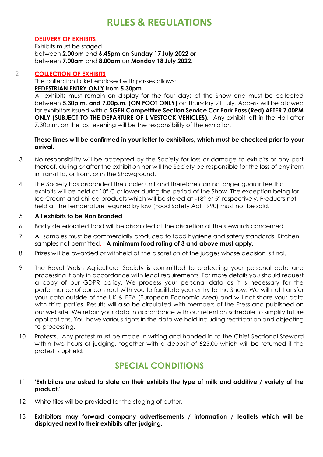# **RULES & REGULATIONS**

#### 1 **DELIVERY OF EXHIBITS**

Exhibits must be staged between **2.00pm** and **6.45pm** on **Sunday 17 July 2022 or** between **7.00am** and **8.00am** on **Monday 18 July 2022**.

#### 2 **COLLECTION OF EXHIBITS**

The collection ticket enclosed with passes allows:

#### **PEDESTRIAN ENTRY ONLY from 5.30pm**

All exhibits must remain on display for the four days of the Show and must be collected between **5.30p.m. and 7.00p.m. (ON FOOT ONLY)** on Thursday 21 July. Access will be allowed for exhibitors issued with a **SGEH Competitive Section Service Car Park Pass (Red) AFTER 7.00PM ONLY (SUBJECT TO THE DEPARTURE OF LIVESTOCK VEHICLES).** Any exhibit left in the Hall after 7.30p.m. on the last evening will be the responsibility of the exhibitor.

#### **These times will be confirmed in your letter to exhibitors, which must be checked prior to your arrival.**

- 3 No responsibility will be accepted by the Society for loss or damage to exhibits or any part thereof, during or after the exhibition nor will the Society be responsible for the loss of any item in transit to, or from, or in the Showground.
- 4 The Society has disbanded the cooler unit and therefore can no longer guarantee that exhibits will be held at 10° C or lower during the period of the Show. The exception being for Ice Cream and chilled products which will be stored at -18° or 5° respectively. Products not held at the temperature required by law (Food Safety Act 1990) must not be sold.

#### 5 **All exhibits to be Non Branded**

- 6 Badly deteriorated food will be discarded at the discretion of the stewards concerned.
- 7 All samples must be commercially produced to food hygiene and safety standards. Kitchen samples not permitted. **A minimum food rating of 3 and above must apply.**
- 8 Prizes will be awarded or withheld at the discretion of the judges whose decision is final.
- 9 The Royal Welsh Agricultural Society is committed to protecting your personal data and processing it only in accordance with legal requirements. For more details you should request a copy of our GDPR policy. We process your personal data as it is necessary for the performance of our contract with you to facilitate your entry to the Show. We will not transfer your data outside of the UK & EEA (European Economic Area) and will not share your data with third parties. Results will also be circulated with members of the Press and published on our website. We retain your data in accordance with our retention schedule to simplify future applications. You have various rights in the data we hold including rectification and objecting to processing.
- 10 Protests. Any protest must be made in writing and handed in to the Chief Sectional Steward within two hours of judging, together with a deposit of £25.00 which will be returned if the protest is upheld.

# **SPECIAL CONDITIONS**

- 11 **'Exhibitors are asked to state on their exhibits the type of milk and additive / variety of the product.'**
- 12 White tiles will be provided for the staging of butter.
- 13 **Exhibitors may forward company advertisements / information / leaflets which will be displayed next to their exhibits after judging.**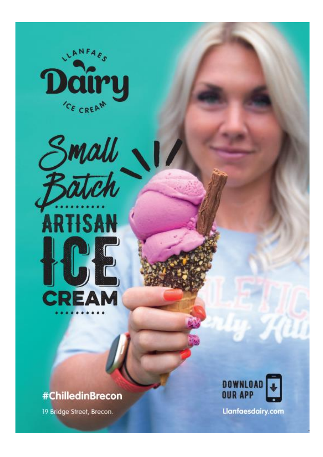



# #ChilledinBrecon

19 Bridge Street, Brecon.



**Llanfaesdairy.com**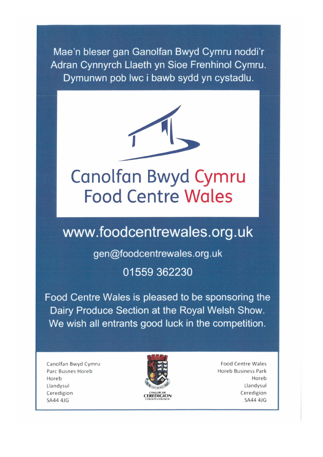Mae'n bleser gan Ganolfan Bwyd Cymru noddi'r Adran Cynnyrch Llaeth yn Sioe Frenhinol Cymru. Dymunwn pob lwc i bawb sydd yn cystadlu.



# Canolfan Bwyd Cymru **Food Centre Wales**

# www.foodcentrewales.org.uk

gen@foodcentrewales.org.uk 01559 362230

Food Centre Wales is pleased to be sponsoring the Dairy Produce Section at the Royal Welsh Show. We wish all entrants good luck in the competition.

Canolfan Bwyd Cymru Parc Busnes Horeb Horeb Llandysul Ceredigion **SA44 4JG** 



**Food Centre Wales Horeb Business Park** Horeb Llandysul Ceredigion **SA44 4JG**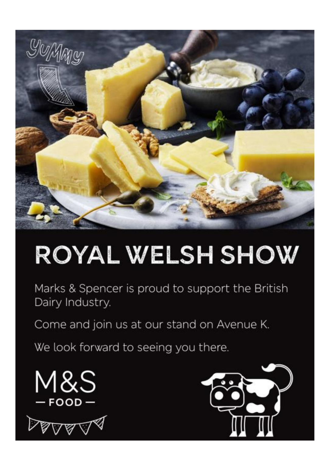

# ROYAL WELSH SHOW

Marks & Spencer is proud to support the British Dairy Industry.

Come and join us at our stand on Avenue K.

We look forward to seeing you there.





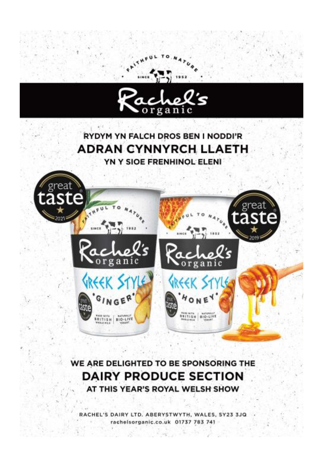

WE ARE DELIGHTED TO BE SPONSORING THE **DAIRY PRODUCE SECTION** AT THIS YEAR'S ROYAL WELSH SHOW

RACHEL'S DAIRY LTD. ABERYSTWYTH, WALES, SY23 3JQ rachelsorganic.co.uk 01737 783 741